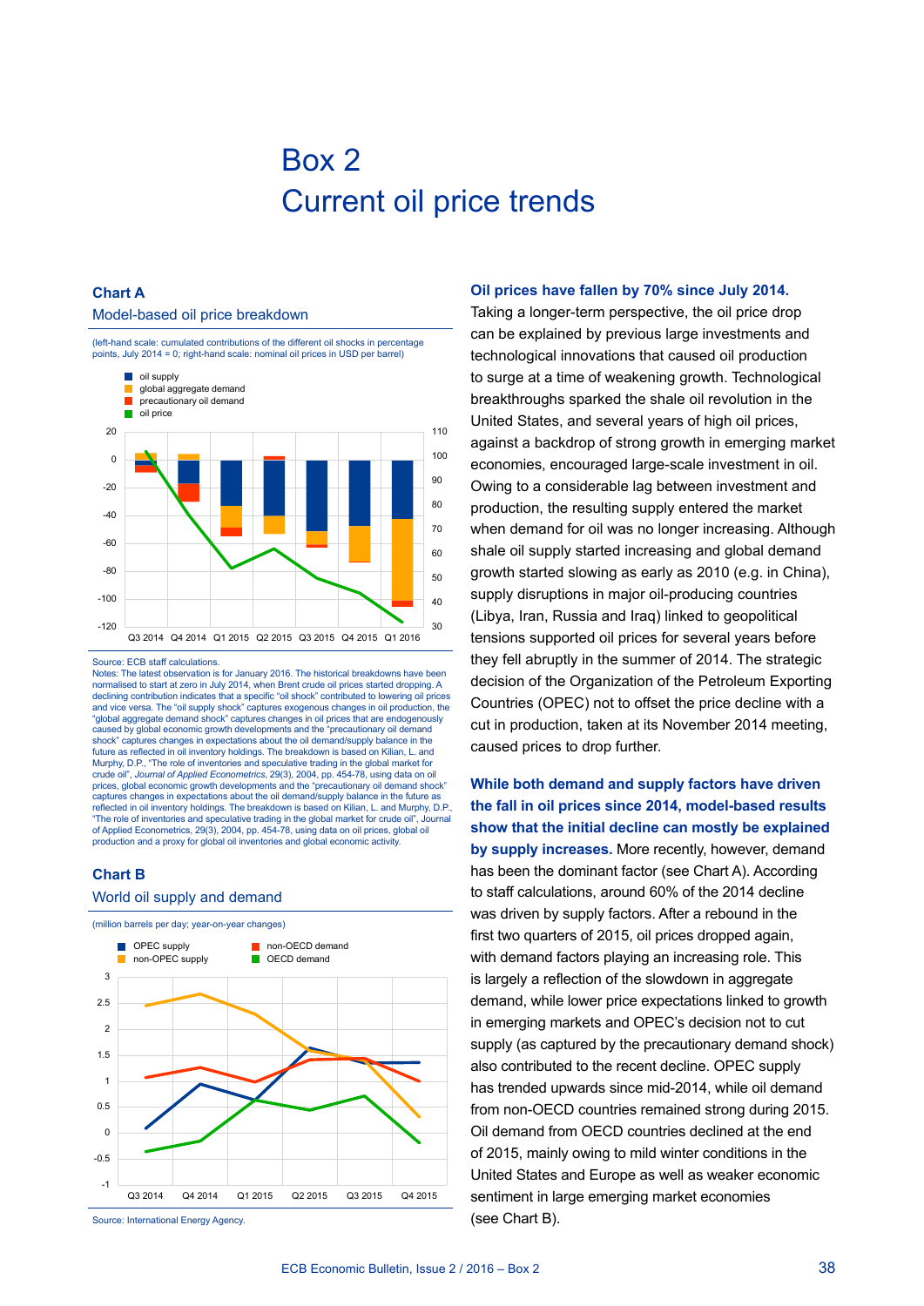# Box 2 Current oil price trends

# **Chart A**

### Model-based oil price breakdown



#### Source: ECB staff calculations.

Notes: The latest observation is for January 2016. The historical breakdowns have been normalised to start at zero in July 2014, when Brent crude oil prices started dropping. A declining contribution indicates that a specific "oil shock" contributed to lowering oil prices and vice versa. The "oil supply shock" captures exogenous changes in oil production, the "global aggregate demand shock" captures changes in oil prices that are endogenously caused by global economic growth developments and the "precautionary oil demand shock" captures changes in expectations about the oil demand/supply balance in the future as reflected in oil inventory holdings. The breakdown is based on Kilian, L. and<br>Murphy, D.P., "The role of inventories and speculative trading in the global market for crude oil", *Journal of Applied Econometrics*, 29(3), 2004, pp. 454-78, using data on oil prices, global economic growth developments and the "precautionary oil demand shock" captures changes in expectations about the oil demand/supply balance in the future as reflected in oil inventory holdings. The breakdown is based on Kilian, L. and Murphy, D.P., "The role of inventories and speculative trading in the global market for crude oil" of Applied Econometrics, 29(3), 2004, pp. 454-78, using data on oil prices, global oil production and a proxy for global oil inventories and global economic activity.

## **Chart B**



#### **Oil prices have fallen by 70% since July 2014.**

Taking a longer-term perspective, the oil price drop can be explained by previous large investments and technological innovations that caused oil production to surge at a time of weakening growth. Technological breakthroughs sparked the shale oil revolution in the United States, and several years of high oil prices, against a backdrop of strong growth in emerging market economies, encouraged large-scale investment in oil. Owing to a considerable lag between investment and production, the resulting supply entered the market when demand for oil was no longer increasing. Although shale oil supply started increasing and global demand growth started slowing as early as 2010 (e.g. in China), supply disruptions in major oil-producing countries (Libya, Iran, Russia and Iraq) linked to geopolitical tensions supported oil prices for several years before they fell abruptly in the summer of 2014. The strategic decision of the Organization of the Petroleum Exporting Countries (OPEC) not to offset the price decline with a cut in production, taken at its November 2014 meeting, caused prices to drop further.

**While both demand and supply factors have driven the fall in oil prices since 2014, model-based results show that the initial decline can mostly be explained by supply increases.** More recently, however, demand has been the dominant factor (see Chart A). According to staff calculations, around 60% of the 2014 decline was driven by supply factors. After a rebound in the first two quarters of 2015, oil prices dropped again, with demand factors playing an increasing role. This is largely a reflection of the slowdown in aggregate demand, while lower price expectations linked to growth in emerging markets and OPEC's decision not to cut supply (as captured by the precautionary demand shock) also contributed to the recent decline. OPEC supply has trended upwards since mid-2014, while oil demand from non-OECD countries remained strong during 2015. Oil demand from OECD countries declined at the end of 2015, mainly owing to mild winter conditions in the United States and Europe as well as weaker economic sentiment in large emerging market economies (see Chart B).